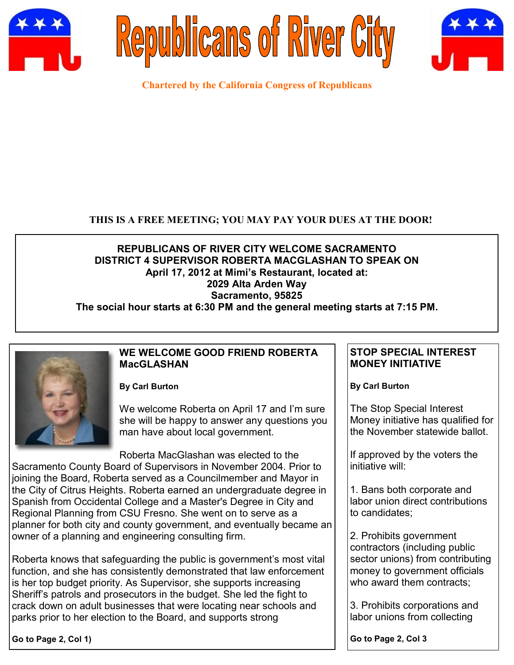





**Chartered by the California Congress of Republicans**

### **THIS IS A FREE MEETING; YOU MAY PAY YOUR DUES AT THE DOOR!**

## **REPUBLICANS OF RIVER CITY WELCOME SACRAMENTO DISTRICT 4 SUPERVISOR ROBERTA MACGLASHAN TO SPEAK ON April 17, 2012 at Mimi's Restaurant, located at: 2029 Alta Arden Way Sacramento, 95825**

**The social hour starts at 6:30 PM and the general meeting starts at 7:15 PM.**



### **WE WELCOME GOOD FRIEND ROBERTA MacGLASHAN**

**By Carl Burton**

We welcome Roberta on April 17 and I'm sure she will be happy to answer any questions you man have about local government.

Roberta MacGlashan was elected to the Sacramento County Board of Supervisors in November 2004. Prior to joining the Board, Roberta served as a Councilmember and Mayor in the City of Citrus Heights. Roberta earned an undergraduate degree in Spanish from Occidental College and a Master's Degree in City and Regional Planning from CSU Fresno. She went on to serve as a planner for both city and county government, and eventually became an owner of a planning and engineering consulting firm.

Roberta knows that safeguarding the public is government's most vital function, and she has consistently demonstrated that law enforcement is her top budget priority. As Supervisor, she supports increasing Sheriff's patrols and prosecutors in the budget. She led the fight to crack down on adult businesses that were locating near schools and parks prior to her election to the Board, and supports strong

**Go to Page 2, Col 1)**

### **STOP SPECIAL INTEREST MONEY INITIATIVE**

**By Carl Burton**

The Stop Special Interest Money initiative has qualified for the November statewide ballot.

If approved by the voters the initiative will:

1. Bans both corporate and labor union direct contributions to candidates;

2. Prohibits government contractors (including public sector unions) from contributing money to government officials who award them contracts:

3. Prohibits corporations and labor unions from collecting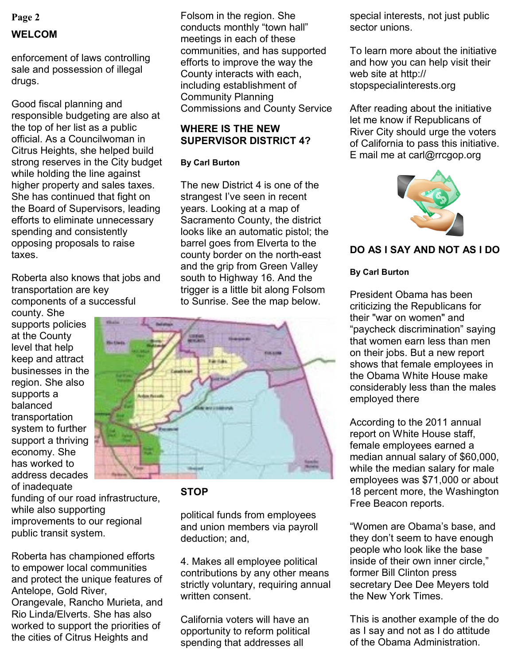# **Page 2 WELCOM**

enforcement of laws controlling sale and possession of illegal drugs.

Good fiscal planning and responsible budgeting are also at the top of her list as a public official. As a Councilwoman in Citrus Heights, she helped build strong reserves in the City budget while holding the line against higher property and sales taxes. She has continued that fight on the Board of Supervisors, leading efforts to eliminate unnecessary spending and consistently opposing proposals to raise taxes.

Roberta also knows that jobs and transportation are key components of a successful

county. She supports policies at the County level that help keep and attract businesses in the region. She also supports a balanced transportation system to further support a thriving economy. She has worked to address decades of inadequate

funding of our road infrastructure, while also supporting improvements to our regional public transit system.

Roberta has championed efforts to empower local communities and protect the unique features of Antelope, Gold River, Orangevale, Rancho Murieta, and Rio Linda/Elverts. She has also worked to support the priorities of the cities of Citrus Heights and

Folsom in the region. She conducts monthly "town hall" meetings in each of these communities, and has supported efforts to improve the way the County interacts with each, including establishment of Community Planning Commissions and County Service

### **WHERE IS THE NEW SUPERVISOR DISTRICT 4?**

### **By Carl Burton**

The new District 4 is one of the strangest I've seen in recent years. Looking at a map of Sacramento County, the district looks like an automatic pistol; the barrel goes from Elverta to the county border on the north-east and the grip from Green Valley south to Highway 16. And the trigger is a little bit along Folsom to Sunrise. See the map below.



## **STOP**

political funds from employees and union members via payroll deduction; and,

4. Makes all employee political contributions by any other means strictly voluntary, requiring annual written consent.

California voters will have an opportunity to reform political spending that addresses all

special interests, not just public sector unions.

To learn more about the initiative and how you can help visit their web site at http:// stopspecialinterests.org

After reading about the initiative let me know if Republicans of River City should urge the voters of California to pass this initiative. E mail me at carl@rrcgop.org



## **DO AS I SAY AND NOT AS I DO**

## **By Carl Burton**

President Obama has been criticizing the Republicans for their "war on women" and "paycheck discrimination" saying that women earn less than men on their jobs. But a new report shows that female employees in the Obama White House make considerably less than the males employed there

According to the 2011 annual report on White House staff, female employees earned a median annual salary of \$60,000, while the median salary for male employees was \$71,000 or about 18 percent more, the Washington Free Beacon reports.

"Women are Obama's base, and they don't seem to have enough people who look like the base inside of their own inner circle," former Bill Clinton press secretary Dee Dee Meyers told the New York Times.

This is another example of the do as I say and not as I do attitude of the Obama Administration.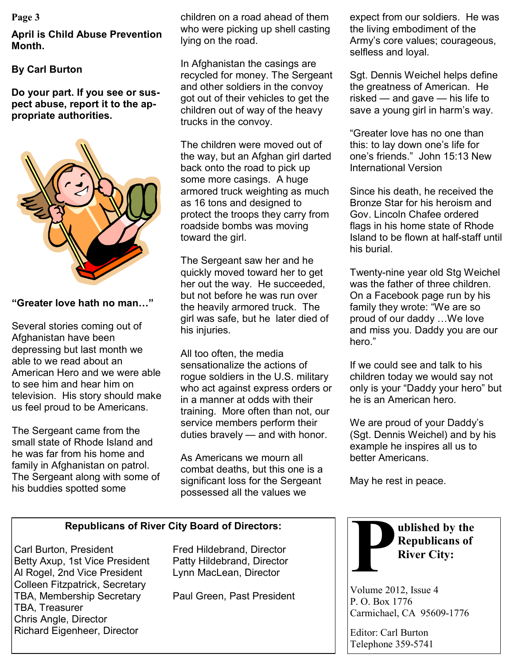#### **Page 3**

**April is Child Abuse Prevention Month.**

### **By Carl Burton**

**Do your part. If you see or suspect abuse, report it to the appropriate authorities.**



#### **"Greater love hath no man…"**

Several stories coming out of Afghanistan have been depressing but last month we able to we read about an American Hero and we were able to see him and hear him on television. His story should make us feel proud to be Americans.

The Sergeant came from the small state of Rhode Island and he was far from his home and family in Afghanistan on patrol. The Sergeant along with some of his buddies spotted some

children on a road ahead of them who were picking up shell casting lying on the road.

In Afghanistan the casings are recycled for money. The Sergeant and other soldiers in the convoy got out of their vehicles to get the children out of way of the heavy trucks in the convoy.

The children were moved out of the way, but an Afghan girl darted back onto the road to pick up some more casings. A huge armored truck weighting as much as 16 tons and designed to protect the troops they carry from roadside bombs was moving toward the girl.

The Sergeant saw her and he quickly moved toward her to get her out the way. He succeeded, but not before he was run over the heavily armored truck. The girl was safe, but he later died of his injuries.

All too often, the media sensationalize the actions of rogue soldiers in the U.S. military who act against express orders or in a manner at odds with their training. More often than not, our service members perform their duties bravely — and with honor.

As Americans we mourn all combat deaths, but this one is a significant loss for the Sergeant possessed all the values we

expect from our soldiers. He was the living embodiment of the Army's core values; courageous, selfless and loyal.

Sgt. Dennis Weichel helps define the greatness of American. He risked — and gave — his life to save a young girl in harm's way.

"Greater love has no one than this: to lay down one's life for one's friends." John 15:13 New International Version

Since his death, he received the Bronze Star for his heroism and Gov. Lincoln Chafee ordered flags in his home state of Rhode Island to be flown at half-staff until his burial.

Twenty-nine year old Stg Weichel was the father of three children On a Facebook page run by his family they wrote: "We are so proud of our daddy …We love and miss you. Daddy you are our hero."

If we could see and talk to his children today we would say not only is your "Daddy your hero" but he is an American hero.

We are proud of your Daddy's (Sgt. Dennis Weichel) and by his example he inspires all us to better Americans.

May he rest in peace.

### **Republicans of River City Board of Directors:**

Carl Burton, President Fred Hildebrand, Director Betty Axup, 1st Vice President Patty Hildebrand, Director Al Rogel, 2nd Vice President Lynn MacLean, Director Colleen Fitzpatrick, Secretary TBA, Membership Secretary Paul Green, Past President TBA, Treasurer Chris Angle, Director Richard Eigenheer, Director



Volume 2012, Issue 4 P. O. Box 1776 Carmichael, CA 95609-1776

Editor: Carl Burton Telephone 359-5741